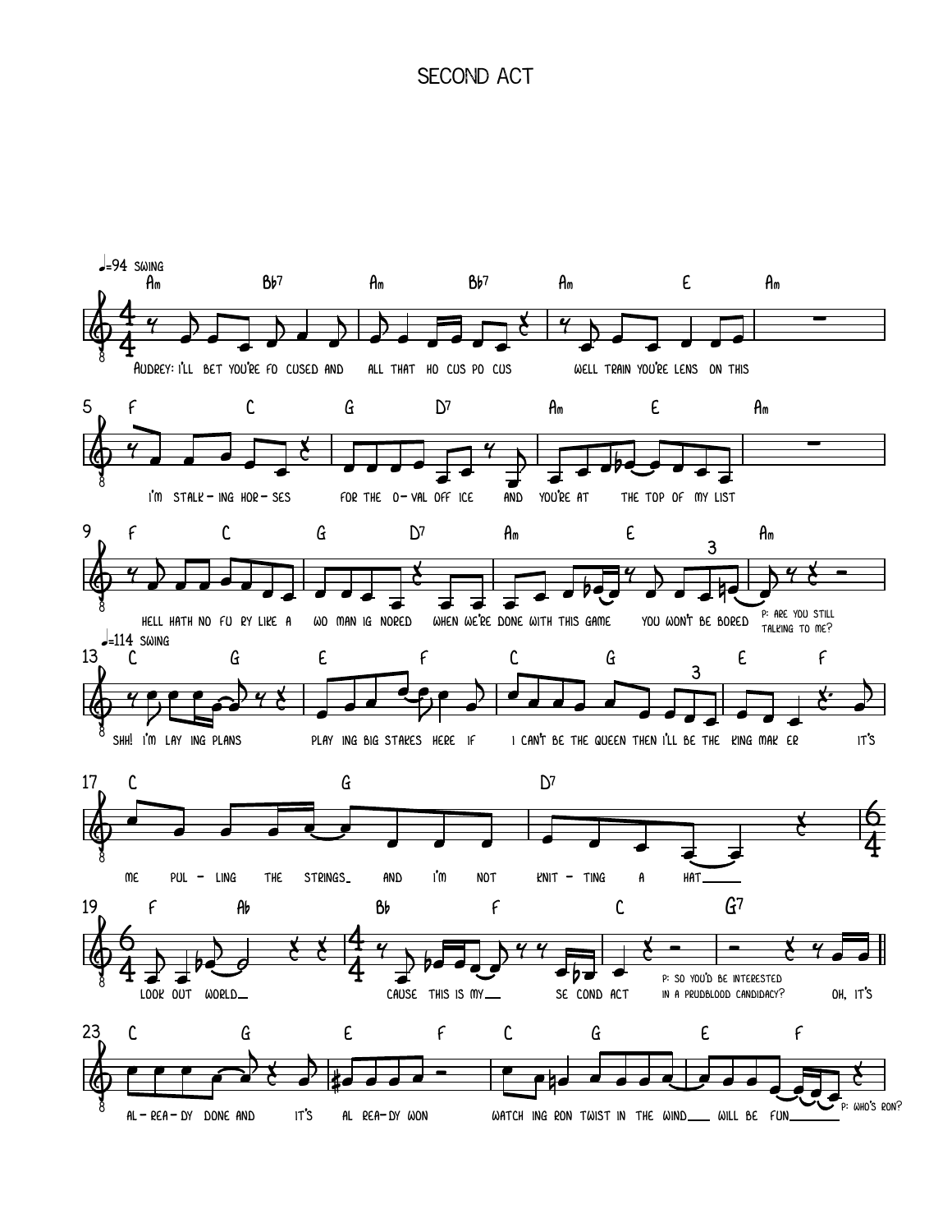## second act